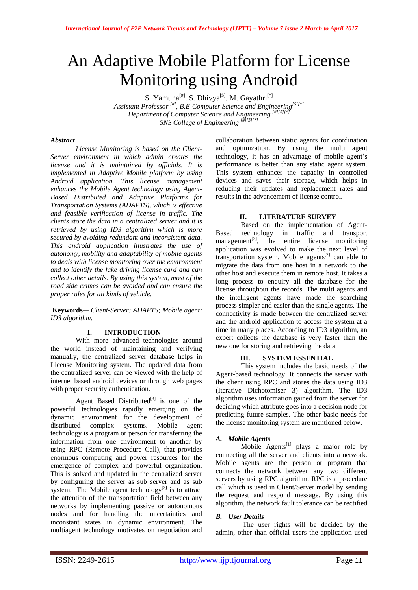# An Adaptive Mobile Platform for License Monitoring using Android

S. Yamuna<sup>[#]</sup>, S. Dhivya<sup>[\$]</sup>, M. Gayathri<sup>[\*]</sup>

*Assistant Professor [#] , B.E-Computer Science and Engineering[\$][\*] Department of Computer Science and Engineering [#][\$][\*] SNS College of Engineering [#][\$][\*]*

## *Abstract*

*License Monitoring is based on the Client-Server environment in which admin creates the license and it is maintained by officials. It is implemented in Adaptive Mobile platform by using Android application. This license management enhances the Mobile Agent technology using Agent-Based Distributed and Adaptive Platforms for Transportation Systems (ADAPTS), which is effective and feasible verification of license in traffic. The clients store the data in a centralized server and it is retrieved by using ID3 algorithm which is more secured by avoiding redundant and inconsistent data. This android application illustrates the use of autonomy, mobility and adaptability of mobile agents to deals with license monitoring over the environment and to identify the fake driving license card and can collect other details. By using this system, most of the road side crimes can be avoided and can ensure the proper rules for all kinds of vehicle.*

**Keywords***— Client-Server; ADAPTS; Mobile agent; ID3 algorithm.*

## **I. INTRODUCTION**

With more advanced technologies around the world instead of maintaining and verifying manually, the centralized server database helps in License Monitoring system. The updated data from the centralized server can be viewed with the help of internet based android devices or through web pages with proper security authentication.

Agent Based Distributed $[3]$  is one of the powerful technologies rapidly emerging on the dynamic environment for the development of distributed complex systems. Mobile agent technology is a program or person for transferring the information from one environment to another by using RPC (Remote Procedure Call), that provides enormous computing and power resources for the emergence of complex and powerful organization. This is solved and updated in the centralized server by configuring the server as sub server and as sub system. The Mobile agent technology<sup>[2]</sup> is to attract the attention of the transportation field between any networks by implementing passive or autonomous nodes and for handling the uncertainties and inconstant states in dynamic environment. The multiagent technology motivates on negotiation and collaboration between static agents for coordination and optimization. By using the multi agent technology, it has an advantage of mobile agent's performance is better than any static agent system. This system enhances the capacity in controlled devices and saves their storage, which helps in reducing their updates and replacement rates and results in the advancement of license control.

## **II. LITERATURE SURVEY**

Based on the implementation of Agent-Based technology in traffic and transport management $^{[3]}$ , the entire license monitoring application was evolved to make the next level of transportation system. Mobile agents $[2]$  can able to migrate the data from one host in a network to the other host and execute them in remote host. It takes a long process to enquiry all the database for the license throughout the records. The multi agents and the intelligent agents have made the searching process simpler and easier than the single agents. The connectivity is made between the centralized server and the android application to access the system at a time in many places. According to ID3 algorithm, an expert collects the database is very faster than the new one for storing and retrieving the data.

## **III. SYSTEM ESSENTIAL**

This system includes the basic needs of the Agent-based technology. It connects the server with the client using RPC and stores the data using ID3 (Iterative Dichotomiser 3) algorithm. The ID3 algorithm uses information gained from the server for deciding which attribute goes into a decision node for predicting future samples. The other basic needs for the license monitoring system are mentioned below.

## *A. Mobile Agents*

Mobile Agents<sup>[1]</sup> plays a major role by connecting all the server and clients into a network. Mobile agents are the person or program that connects the network between any two different servers by using RPC algorithm. RPC is a procedure call which is used in Client/Server model by sending the request and respond message. By using this algorithm, the network fault tolerance can be rectified.

# *B. User Details*

The user rights will be decided by the admin, other than official users the application used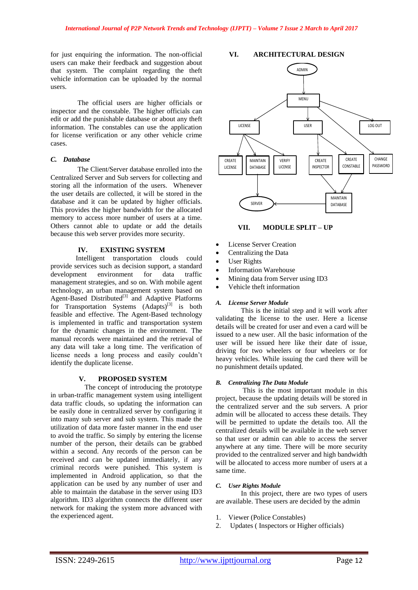for just enquiring the information. The non-official users can make their feedback and suggestion about that system. The complaint regarding the theft vehicle information can be uploaded by the normal users.

The official users are higher officials or inspector and the constable. The higher officials can edit or add the punishable database or about any theft information. The constables can use the application for license verification or any other vehicle crime cases.

## *C. Database*

The Client/Server database enrolled into the Centralized Server and Sub servers for collecting and storing all the information of the users. Whenever the user details are collected, it will be stored in the database and it can be updated by higher officials. This provides the higher bandwidth for the allocated memory to access more number of users at a time. Others cannot able to update or add the details because this web server provides more security.

## **IV. EXISTING SYSTEM**

Intelligent transportation clouds could provide services such as decision support, a standard development environment for data traffic management strategies, and so on. With mobile agent technology, an urban management system based on Agent-Based Distributed<sup>[3]</sup> and Adaptive Platforms for Transportation Systems (Adapts)<sup>[3]</sup> is both feasible and effective. The Agent-Based technology is implemented in traffic and transportation system for the dynamic changes in the environment. The manual records were maintained and the retrieval of any data will take a long time. The verification of license needs a long process and easily couldn't identify the duplicate license.

## **V. PROPOSED SYSTEM**

 The concept of introducing the prototype in urban-traffic management system using intelligent data traffic clouds, so updating the information can be easily done in centralized server by configuring it into many sub server and sub system. This made the utilization of data more faster manner in the end user to avoid the traffic. So simply by entering the license number of the person, their details can be grabbed within a second. Any records of the person can be received and can be updated immediately, if any criminal records were punished. This system is implemented in Android application, so that the application can be used by any number of user and able to maintain the database in the server using ID3 algorithm. ID3 algorithm connects the different user network for making the system more advanced with the experienced agent.

# **VI. ARCHITECTURAL DESIGN**



## **VII. MODULE SPLIT – UP**

- License Server Creation
- Centralizing the Data
- User Rights
- Information Warehouse
- Mining data from Server using ID3
- Vehicle theft information

## *A. License Server Module*

This is the initial step and it will work after validating the license to the user. Here a license details will be created for user and even a card will be issued to a new user. All the basic information of the user will be issued here like their date of issue, driving for two wheelers or four wheelers or for heavy vehicles. While issuing the card there will be no punishment details updated.

# *B. Centralizing The Data Module*

This is the most important module in this project, because the updating details will be stored in the centralized server and the sub servers. A prior admin will be allocated to access these details. They will be permitted to update the details too. All the centralized details will be available in the web server so that user or admin can able to access the server anywhere at any time. There will be more security provided to the centralized server and high bandwidth will be allocated to access more number of users at a same time.

#### *C. User Rights Module*

 In this project, there are two types of users are available. These users are decided by the admin

- 1. Viewer (Police Constables)
- 2. Updates ( Inspectors or Higher officials)